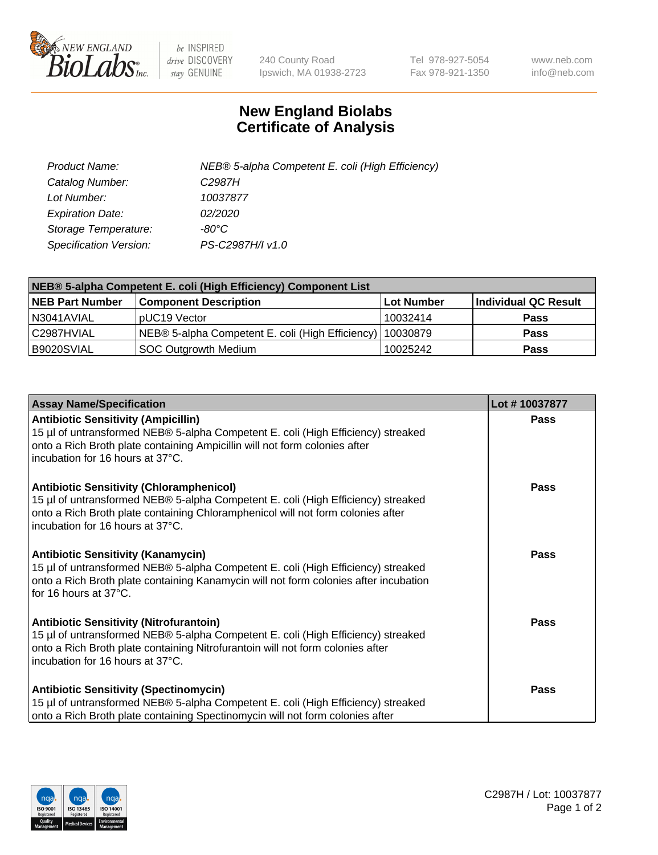

 $be$  INSPIRED drive DISCOVERY stay GENUINE

240 County Road Ipswich, MA 01938-2723 Tel 978-927-5054 Fax 978-921-1350 www.neb.com info@neb.com

## **New England Biolabs Certificate of Analysis**

| Product Name:           | NEB® 5-alpha Competent E. coli (High Efficiency) |
|-------------------------|--------------------------------------------------|
| Catalog Number:         | C <sub>2987</sub> H                              |
| Lot Number:             | 10037877                                         |
| <b>Expiration Date:</b> | <i>02/2020</i>                                   |
| Storage Temperature:    | -80°C                                            |
| Specification Version:  | PS-C2987H/I v1.0                                 |

| NEB® 5-alpha Competent E. coli (High Efficiency) Component List |                                                             |            |                      |  |
|-----------------------------------------------------------------|-------------------------------------------------------------|------------|----------------------|--|
| <b>NEB Part Number</b>                                          | <b>Component Description</b>                                | Lot Number | Individual QC Result |  |
| N3041AVIAL                                                      | pUC19 Vector                                                | 10032414   | <b>Pass</b>          |  |
| C2987HVIAL                                                      | NEB® 5-alpha Competent E. coli (High Efficiency)   10030879 |            | <b>Pass</b>          |  |
| B9020SVIAL                                                      | <b>SOC Outgrowth Medium</b>                                 | 10025242   | <b>Pass</b>          |  |

| <b>Assay Name/Specification</b>                                                                                                                                                                                                                            | Lot #10037877 |
|------------------------------------------------------------------------------------------------------------------------------------------------------------------------------------------------------------------------------------------------------------|---------------|
| <b>Antibiotic Sensitivity (Ampicillin)</b><br>15 µl of untransformed NEB® 5-alpha Competent E. coli (High Efficiency) streaked<br>onto a Rich Broth plate containing Ampicillin will not form colonies after<br>incubation for 16 hours at 37°C.           | <b>Pass</b>   |
| <b>Antibiotic Sensitivity (Chloramphenicol)</b><br>15 µl of untransformed NEB® 5-alpha Competent E. coli (High Efficiency) streaked<br>onto a Rich Broth plate containing Chloramphenicol will not form colonies after<br>incubation for 16 hours at 37°C. | Pass          |
| Antibiotic Sensitivity (Kanamycin)<br>15 µl of untransformed NEB® 5-alpha Competent E. coli (High Efficiency) streaked<br>onto a Rich Broth plate containing Kanamycin will not form colonies after incubation<br>for 16 hours at 37°C.                    | Pass          |
| <b>Antibiotic Sensitivity (Nitrofurantoin)</b><br>15 µl of untransformed NEB® 5-alpha Competent E. coli (High Efficiency) streaked<br>onto a Rich Broth plate containing Nitrofurantoin will not form colonies after<br>incubation for 16 hours at 37°C.   | <b>Pass</b>   |
| <b>Antibiotic Sensitivity (Spectinomycin)</b><br>15 µl of untransformed NEB® 5-alpha Competent E. coli (High Efficiency) streaked<br>onto a Rich Broth plate containing Spectinomycin will not form colonies after                                         | Pass          |